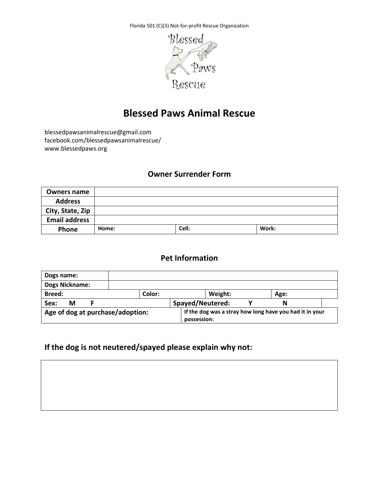Florida 501 (C)(3) Not-for-profit Rescue Organization



# **Blessed Paws Animal Rescue**

blessedpawsanimalrescue@gmail.com facebook.com/blessedpawsanimalrescue/ www.blessedpaws.org

#### **Owner Surrender Form**

| <b>Owners name</b>   |       |       |       |
|----------------------|-------|-------|-------|
| <b>Address</b>       |       |       |       |
| City, State, Zip     |       |       |       |
| <b>Email address</b> |       |       |       |
| Phone                | Home: | Cell: | Work: |

#### **Pet Information**

| Dogs name:                                                                                                 |        |                  |         |      |  |
|------------------------------------------------------------------------------------------------------------|--------|------------------|---------|------|--|
| <b>Dogs Nickname:</b>                                                                                      |        |                  |         |      |  |
| Breed:                                                                                                     | Color: |                  | Weight: | Age: |  |
| Sex:<br>М                                                                                                  |        | Spayed/Neutered: |         |      |  |
| If the dog was a stray how long have you had it in your<br>Age of dog at purchase/adoption:<br>possession: |        |                  |         |      |  |

# **If the dog is not neutered/spayed please explain why not:**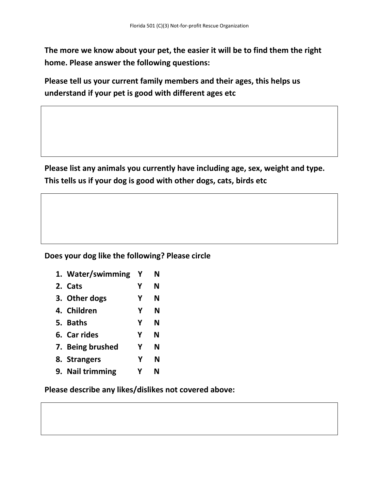**The more we know about your pet, the easier it will be to find them the right home. Please answer the following questions:**

**Please tell us your current family members and their ages, this helps us understand if your pet is good with different ages etc**

**Please list any animals you currently have including age, sex, weight and type. This tells us if your dog is good with other dogs, cats, birds etc**

#### **Does your dog like the following? Please circle**

| 1. Water/swimming | Y | N |  |
|-------------------|---|---|--|
| 2. Cats           | Υ | N |  |
| 3. Other dogs     | Y | N |  |
| 4. Children       | Υ | N |  |
| 5. Baths          | Υ | N |  |
| 6. Car rides      | Y | N |  |
| 7. Being brushed  | Y | N |  |
| 8. Strangers      | Y | N |  |
| 9. Nail trimming  | v | N |  |
|                   |   |   |  |

**Please describe any likes/dislikes not covered above:**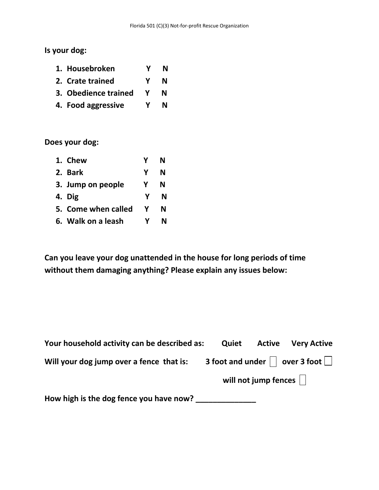**Is your dog:**

| 1. Housebroken                                          | Y N |
|---------------------------------------------------------|-----|
| 2. Crate trained                                        | Y N |
| $\sim$ $\sim$ $\sim$ $\sim$ $\sim$ $\sim$ $\sim$ $\sim$ |     |

- **3. Obedience trained Y N**
- **4. Food aggressive Y N**

**Does your dog:**

| 1. Chew             |   | N |
|---------------------|---|---|
| 2. Bark             | Y | N |
| 3. Jump on people   | γ | N |
| 4. Dig              | Y | N |
| 5. Come when called | Y | N |
| 6. Walk on a leash  |   |   |

**Can you leave your dog unattended in the house for long periods of time without them damaging anything? Please explain any issues below:** 

| Your household activity can be described as: | Quiet | <b>Active</b>                        | <b>Very Active</b>                                           |
|----------------------------------------------|-------|--------------------------------------|--------------------------------------------------------------|
| Will your dog jump over a fence that is:     |       |                                      | 3 foot and under $\vert \ \vert$ over 3 foot $\vert \ \vert$ |
|                                              |       | will not jump fences $\vert \ \vert$ |                                                              |
| How high is the dog fence you have now?      |       |                                      |                                                              |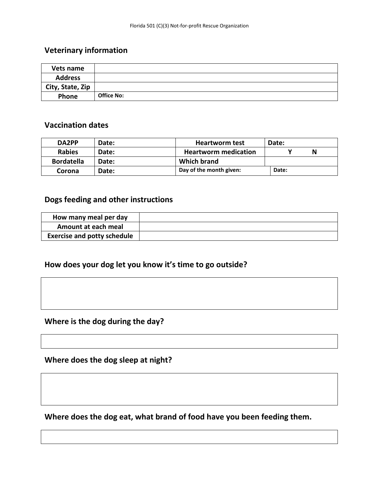## **Veterinary information**

| Vets name        |                   |
|------------------|-------------------|
| <b>Address</b>   |                   |
| City, State, Zip |                   |
| <b>Phone</b>     | <b>Office No:</b> |

#### **Vaccination dates**

| DA2PP             | Date:        | <b>Heartworm test</b>       | Date: |
|-------------------|--------------|-----------------------------|-------|
| <b>Rabies</b>     | <b>Date:</b> | <b>Heartworm medication</b> |       |
| <b>Bordatella</b> | Date:        | Which brand                 |       |
| Corona            | <b>Date:</b> | Day of the month given:     | Date: |

# **Dogs feeding and other instructions**

| How many meal per day              |  |
|------------------------------------|--|
| Amount at each meal                |  |
| <b>Exercise and potty schedule</b> |  |

## **How does your dog let you know it's time to go outside?**

# **Where is the dog during the day?**

**Where does the dog sleep at night?**

**Where does the dog eat, what brand of food have you been feeding them.**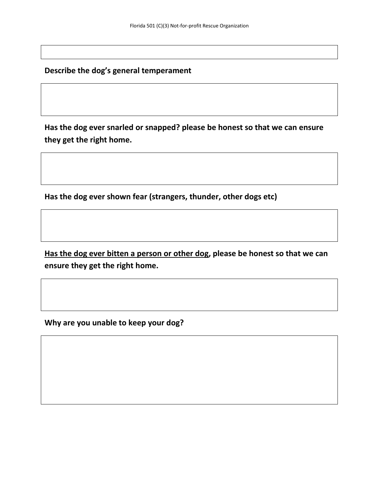**Describe the dog's general temperament**

**Has the dog ever snarled or snapped? please be honest so that we can ensure they get the right home.**

**Has the dog ever shown fear (strangers, thunder, other dogs etc)**

**Has the dog ever bitten a person or other dog, please be honest so that we can ensure they get the right home.**

**Why are you unable to keep your dog?**